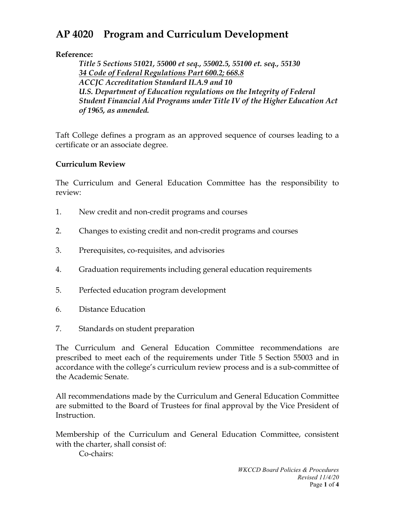# **AP 4020 Program and Curriculum Development**

**Reference:** 

*Title 5 Sections 51021, 55000 et seq., 55002.5, 55100 et. seq., 55130 34 Code of Federal Regulations Part 600.2; 668.8 ACCJC Accreditation Standard II.A.9 and 10 U.S. Department of Education regulations on the Integrity of Federal Student Financial Aid Programs under Title IV of the Higher Education Act of 1965, as amended.*

Taft College defines a program as an approved sequence of courses leading to a certificate or an associate degree.

## **Curriculum Review**

The Curriculum and General Education Committee has the responsibility to review:

- 1. New credit and non-credit programs and courses
- 2. Changes to existing credit and non-credit programs and courses
- 3. Prerequisites, co-requisites, and advisories
- 4. Graduation requirements including general education requirements
- 5. Perfected education program development
- 6. Distance Education
- 7. Standards on student preparation

The Curriculum and General Education Committee recommendations are prescribed to meet each of the requirements under Title 5 Section 55003 and in accordance with the college's curriculum review process and is a sub-committee of the Academic Senate.

All recommendations made by the Curriculum and General Education Committee are submitted to the Board of Trustees for final approval by the Vice President of Instruction.

Membership of the Curriculum and General Education Committee, consistent with the charter, shall consist of:

Co-chairs: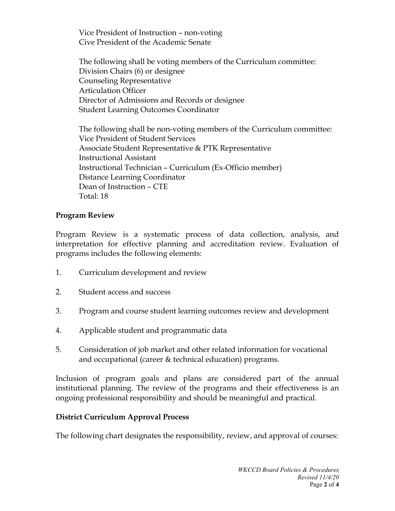Vice President of Instruction – non-voting Cive President of the Academic Senate

The following shall be voting members of the Curriculum committee: Division Chairs (6) or designee Counseling Representative Articulation Officer Director of Admissions and Records or designee Student Learning Outcomes Coordinator

The following shall be non-voting members of the Curriculum committee: Vice President of Student Services Associate Student Representative & PTK Representative Instructional Assistant Instructional Technician – Curriculum (Ex-Officio member) Distance Learning Coordinator Dean of Instruction – CTE Total: 18

#### **Program Review**

Program Review is a systematic process of data collection, analysis, and interpretation for effective planning and accreditation review. Evaluation of programs includes the following elements:

- 1. Curriculum development and review
- 2. Student access and success
- 3. Program and course student learning outcomes review and development
- 4. Applicable student and programmatic data
- 5. Consideration of job market and other related information for vocational and occupational (career & technical education) programs.

Inclusion of program goals and plans are considered part of the annual institutional planning. The review of the programs and their effectiveness is an ongoing professional responsibility and should be meaningful and practical.

#### **District Curriculum Approval Process**

The following chart designates the responsibility, review, and approval of courses: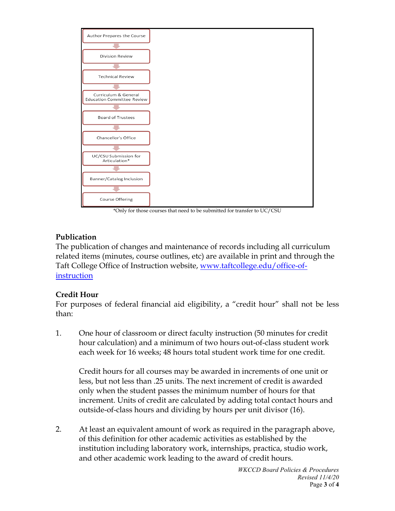

\*Only for those courses that need to be submitted for transfer to UC/CSU

## **Publication**

The publication of changes and maintenance of records including all curriculum related items (minutes, course outlines, etc) are available in print and through the Taft College Office of Instruction website, [www.taftcollege.edu/office-of](http://www.taftcollege.edu/office-of-instruction)[instruction](http://www.taftcollege.edu/office-of-instruction)

# **Credit Hour**

For purposes of federal financial aid eligibility, a "credit hour" shall not be less than:

1. One hour of classroom or direct faculty instruction (50 minutes for credit hour calculation) and a minimum of two hours out-of-class student work each week for 16 weeks; 48 hours total student work time for one credit.

Credit hours for all courses may be awarded in increments of one unit or less, but not less than .25 units. The next increment of credit is awarded only when the student passes the minimum number of hours for that increment. Units of credit are calculated by adding total contact hours and outside-of-class hours and dividing by hours per unit divisor (16).

2. At least an equivalent amount of work as required in the paragraph above, of this definition for other academic activities as established by the institution including laboratory work, internships, practica, studio work, and other academic work leading to the award of credit hours.